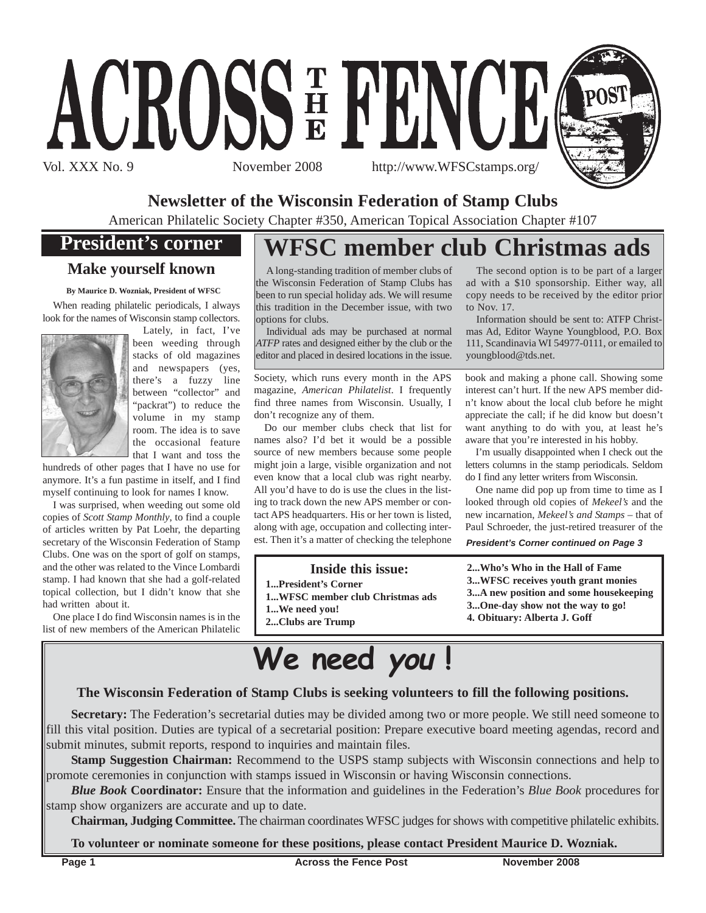

**Newsletter of the Wisconsin Federation of Stamp Clubs**

Vol. XXX No. 9 November 2008 http://www.WFSCstamps.org/

ACROSSE FENCE

American Philatelic Society Chapter #350, American Topical Association Chapter #107

## **President's corner**

## **Make yourself known**

**By Maurice D. Wozniak, President of WFSC**

When reading philatelic periodicals, I always look for the names of Wisconsin stamp collectors.



Lately, in fact, I've been weeding through stacks of old magazines and newspapers (yes, there's a fuzzy line between "collector" and "packrat") to reduce the volume in my stamp room. The idea is to save the occasional feature that I want and toss the

hundreds of other pages that I have no use for anymore. It's a fun pastime in itself, and I find myself continuing to look for names I know.

I was surprised, when weeding out some old copies of *Scott Stamp Monthly*, to find a couple of articles written by Pat Loehr, the departing secretary of the Wisconsin Federation of Stamp Clubs. One was on the sport of golf on stamps, and the other was related to the Vince Lombardi stamp. I had known that she had a golf-related topical collection, but I didn't know that she had written about it.

One place I do find Wisconsin names is in the list of new members of the American Philatelic

# **WFSC member club Christmas ads**

A long-standing tradition of member clubs of the Wisconsin Federation of Stamp Clubs has been to run special holiday ads. We will resume this tradition in the December issue, with two options for clubs.

Individual ads may be purchased at normal *ATFP* rates and designed either by the club or the editor and placed in desired locations in the issue.

Society, which runs every month in the APS magazine, *American Philatelist*. I frequently find three names from Wisconsin. Usually, I don't recognize any of them.

Do our member clubs check that list for names also? I'd bet it would be a possible source of new members because some people might join a large, visible organization and not even know that a local club was right nearby. All you'd have to do is use the clues in the listing to track down the new APS member or contact APS headquarters. His or her town is listed, along with age, occupation and collecting interest. Then it's a matter of checking the telephone

### **Inside this issue:**

- **1...President's Corner**
- **1...WFSC member club Christmas ads**
- **1...We need you!**
- **2...Clubs are Trump**

The second option is to be part of a larger ad with a \$10 sponsorship. Either way, all copy needs to be received by the editor prior to Nov. 17.

Information should be sent to: ATFP Christmas Ad, Editor Wayne Youngblood, P.O. Box 111, Scandinavia WI 54977-0111, or emailed to youngblood@tds.net.

book and making a phone call. Showing some interest can't hurt. If the new APS member didn't know about the local club before he might appreciate the call; if he did know but doesn't want anything to do with you, at least he's aware that you're interested in his hobby.

I'm usually disappointed when I check out the letters columns in the stamp periodicals. Seldom do I find any letter writers from Wisconsin.

One name did pop up from time to time as I looked through old copies of *Mekeel's* and the new incarnation, *Mekeel's and Stamps* – that of Paul Schroeder, the just-retired treasurer of the

*President's Corner continued on Page 3*

**2...Who's Who in the Hall of Fame 3...WFSC receives youth grant monies 3...A new position and some housekeeping 3...One-day show not the way to go! 4. Obituary: Alberta J. Goff**

**We need you !**

## **The Wisconsin Federation of Stamp Clubs is seeking volunteers to fill the following positions.**

**Secretary:** The Federation's secretarial duties may be divided among two or more people. We still need someone to fill this vital position. Duties are typical of a secretarial position: Prepare executive board meeting agendas, record and submit minutes, submit reports, respond to inquiries and maintain files.

**Stamp Suggestion Chairman:** Recommend to the USPS stamp subjects with Wisconsin connections and help to promote ceremonies in conjunction with stamps issued in Wisconsin or having Wisconsin connections.

*Blue Book* **Coordinator:** Ensure that the information and guidelines in the Federation's *Blue Book* procedures for stamp show organizers are accurate and up to date.

**Chairman, Judging Committee.** The chairman coordinates WFSC judges for shows with competitive philatelic exhibits.

**To volunteer or nominate someone for these positions, please contact President Maurice D. Wozniak.**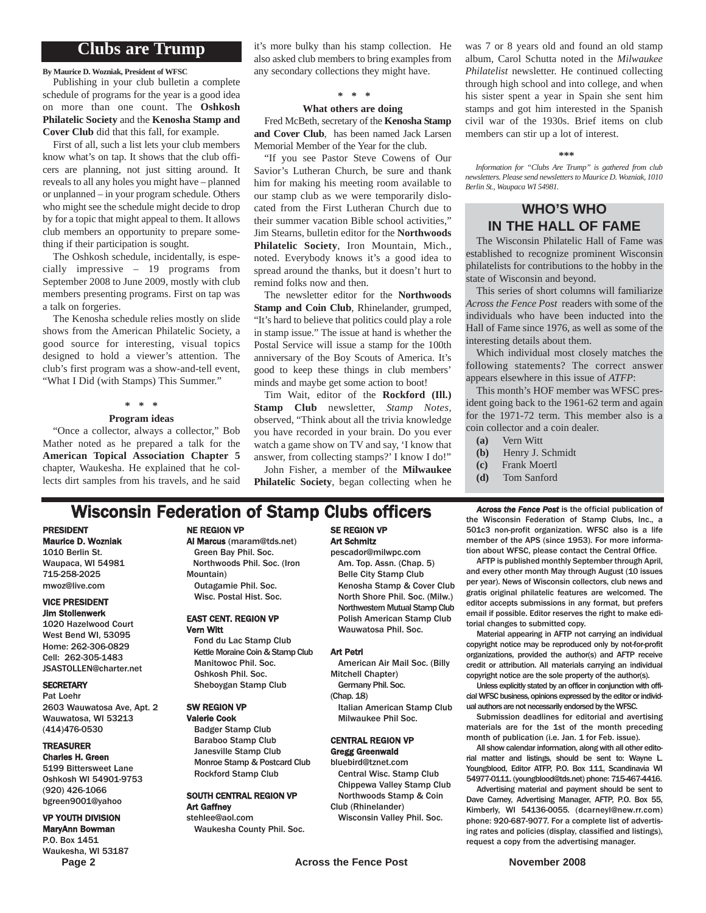## **Clubs are Trump**

#### **By Maurice D. Wozniak, President of WFSC**

Publishing in your club bulletin a complete schedule of programs for the year is a good idea on more than one count. The **Oshkosh Philatelic Society** and the **Kenosha Stamp and Cover Club** did that this fall, for example.

First of all, such a list lets your club members know what's on tap. It shows that the club officers are planning, not just sitting around. It reveals to all any holes you might have – planned or unplanned – in your program schedule. Others who might see the schedule might decide to drop by for a topic that might appeal to them. It allows club members an opportunity to prepare something if their participation is sought.

The Oshkosh schedule, incidentally, is especially impressive – 19 programs from September 2008 to June 2009, mostly with club members presenting programs. First on tap was a talk on forgeries.

The Kenosha schedule relies mostly on slide shows from the American Philatelic Society, a good source for interesting, visual topics designed to hold a viewer's attention. The club's first program was a show-and-tell event, "What I Did (with Stamps) This Summer."

#### **\* \* \***

#### **Program ideas**

"Once a collector, always a collector," Bob Mather noted as he prepared a talk for the **American Topical Association Chapter 5** chapter, Waukesha. He explained that he collects dirt samples from his travels, and he said it's more bulky than his stamp collection. He also asked club members to bring examples from any secondary collections they might have.

#### **\* \* \***

#### **What others are doing**

Fred McBeth, secretary of the **Kenosha Stamp and Cover Club**, has been named Jack Larsen Memorial Member of the Year for the club.

"If you see Pastor Steve Cowens of Our Savior's Lutheran Church, be sure and thank him for making his meeting room available to our stamp club as we were temporarily dislocated from the First Lutheran Church due to their summer vacation Bible school activities," Jim Stearns, bulletin editor for the **Northwoods Philatelic Society**, Iron Mountain, Mich., noted. Everybody knows it's a good idea to spread around the thanks, but it doesn't hurt to remind folks now and then.

The newsletter editor for the **Northwoods Stamp and Coin Club**, Rhinelander, grumped, "It's hard to believe that politics could play a role in stamp issue." The issue at hand is whether the Postal Service will issue a stamp for the 100th anniversary of the Boy Scouts of America. It's good to keep these things in club members' minds and maybe get some action to boot!

Tim Wait, editor of the **Rockford (Ill.) Stamp Club** newsletter, *Stamp Notes*, observed, "Think about all the trivia knowledge you have recorded in your brain. Do you ever watch a game show on TV and say, 'I know that answer, from collecting stamps?' I know I do!"

John Fisher, a member of the **Milwaukee Philatelic Society**, began collecting when he was 7 or 8 years old and found an old stamp album, Carol Schutta noted in the *Milwaukee Philatelist* newsletter. He continued collecting through high school and into college, and when his sister spent a year in Spain she sent him stamps and got him interested in the Spanish civil war of the 1930s. Brief items on club members can stir up a lot of interest.

#### **\*\*\***

*Information for "Clubs Are Trump" is gathered from club newsletters. Please send newsletters to Maurice D. Wozniak, 1010 Berlin St., Waupaca WI 54981.*

### **WHO'S WHO IN THE HALL OF FAME**

The Wisconsin Philatelic Hall of Fame was established to recognize prominent Wisconsin philatelists for contributions to the hobby in the state of Wisconsin and beyond.

This series of short columns will familiarize *Across the Fence Post* readers with some of the individuals who have been inducted into the Hall of Fame since 1976, as well as some of the interesting details about them.

Which individual most closely matches the following statements? The correct answer appears elsewhere in this issue of *ATFP*:

This month's HOF member was WFSC president going back to the 1961-62 term and again for the 1971-72 term. This member also is a coin collector and a coin dealer.

- **(a)** Vern Witt
- **(b)** Henry J. Schmidt
- **(c)** Frank Moertl
- **(d)** Tom Sanford

## **Wisconsin Federation of Stamp Clubs officers** *Across the Fence Post* is the official publication of

PRESIDENT Maurice D. Wozniak

1010 Berlin St. Waupaca, WI 54981 715-258-2025 mwoz@live.com

#### VICE PRESIDENT Jim Stollenwerk

1020 Hazelwood Court West Bend WI, 53095 Home: 262-306-0829 Cell: 262-305-1483 JSASTOLLEN@charter.net

#### **SECRETARY**

Pat Loehr 2603 Wauwatosa Ave, Apt. 2 Wauwatosa, WI 53213 (414)476-0530

#### TREASURER

Charles H. Green 5199 Bittersweet Lane Oshkosh WI 54901-9753 (920) 426-1066 bgreen9001@yahoo

#### VP YOUTH DIVISION MaryAnn Bowman P.O. Box 1451

Waukesha, WI 53187

#### NE REGION VP

#### Al Marcus (maram@tds.net) Green Bay Phil. Soc. Northwoods Phil. Soc. (Iron

Mountain) Outagamie Phil. Soc. Wisc. Postal Hist. Soc.

#### EAST CENT. REGION VP Vern Witt

Fond du Lac Stamp Club Kettle Moraine Coin & Stamp Club Manitowoc Phil. Soc. Oshkosh Phil. Soc. Sheboygan Stamp Club

#### SW REGION VP

Valerie Cook Badger Stamp Club Baraboo Stamp Club Janesville Stamp Club Monroe Stamp & Postcard Club Rockford Stamp Club

#### SOUTH CENTRAL REGION VP Art Gaffney

stehlee@aol.com Waukesha County Phil. Soc.

#### SE REGION VP Art Schmitz pescador@milwpc.com

Am. Top. Assn. (Chap. 5) Belle City Stamp Club Kenosha Stamp & Cover Club North Shore Phil. Soc. (Milw.) Northwestern Mutual Stamp Club Polish American Stamp Club Wauwatosa Phil. Soc.

#### Art Petri

- American Air Mail Soc. (Billy Mitchell Chapter)
- Germany Phil. Soc. (Chap. 18)
	- Italian American Stamp Club Milwaukee Phil Soc.

#### CENTRAL REGION VP Gregg Greenwald

- bluebird@tznet.com Central Wisc. Stamp Club Chippewa Valley Stamp Club Northwoods Stamp & Coin
- Club (Rhinelander) Wisconsin Valley Phil. Soc.

the Wisconsin Federation of Stamp Clubs, Inc., a 501c3 non-profit organization. WFSC also is a life member of the APS (since 1953). For more information about WFSC, please contact the Central Office.

AFTP is published monthly September through April, and every other month May through August (10 issues per year). News of Wisconsin collectors, club news and gratis original philatelic features are welcomed. The editor accepts submissions in any format, but prefers email if possible. Editor reserves the right to make editorial changes to submitted copy.

Material appearing in AFTP not carrying an individual copyright notice may be reproduced only by not-for-profit organizations, provided the author(s) and AFTP receive credit or attribution. All materials carrying an individual copyright notice are the sole property of the author(s).

Unless explicitly stated by an officer in conjunction with official WFSC business, opinions expressed by the editor or individual authors are not necessarily endorsed by the WFSC.

Submission deadlines for editorial and avertising materials are for the 1st of the month preceding month of publication (i.e. Jan. 1 for Feb. issue).

All show calendar information, along with all other editorial matter and listings, should be sent to: Wayne L. Youngblood, Editor ATFP, P.O. Box 111, Scandinavia WI 54977-0111. (youngblood@tds.net) phone: 715-467-4416.

Advertising material and payment should be sent to Dave Carney, Advertising Manager, AFTP, P.O. Box 55, Kimberly, WI 54136-0055. (dcarneyl@new.rr.com) phone: 920-687-9077. For a complete list of advertising rates and policies (display, classified and listings), request a copy from the advertising manager.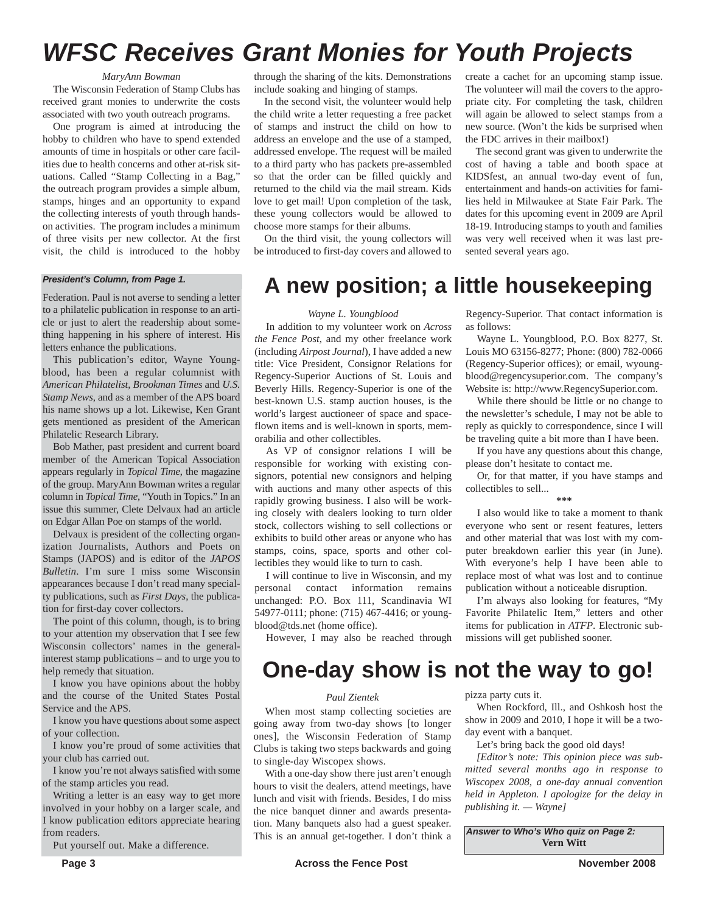# *WFSC Receives Grant Monies for Youth Projects*

#### *MaryAnn Bowman*

The Wisconsin Federation of Stamp Clubs has received grant monies to underwrite the costs associated with two youth outreach programs.

One program is aimed at introducing the hobby to children who have to spend extended amounts of time in hospitals or other care facilities due to health concerns and other at-risk situations. Called "Stamp Collecting in a Bag," the outreach program provides a simple album, stamps, hinges and an opportunity to expand the collecting interests of youth through handson activities. The program includes a minimum of three visits per new collector. At the first visit, the child is introduced to the hobby

Federation. Paul is not averse to sending a letter to a philatelic publication in response to an article or just to alert the readership about something happening in his sphere of interest. His letters enhance the publications.

This publication's editor, Wayne Youngblood, has been a regular columnist with *American Philatelist*, *Brookman Times* and *U.S. Stamp News*, and as a member of the APS board his name shows up a lot. Likewise, Ken Grant gets mentioned as president of the American Philatelic Research Library.

Bob Mather, past president and current board member of the American Topical Association appears regularly in *Topical Time*, the magazine of the group. MaryAnn Bowman writes a regular column in *Topical Time*, "Youth in Topics." In an issue this summer, Clete Delvaux had an article on Edgar Allan Poe on stamps of the world.

Delvaux is president of the collecting organization Journalists, Authors and Poets on Stamps (JAPOS) and is editor of the *JAPOS Bulletin*. I'm sure I miss some Wisconsin appearances because I don't read many specialty publications, such as *First Days*, the publication for first-day cover collectors.

The point of this column, though, is to bring to your attention my observation that I see few Wisconsin collectors' names in the generalinterest stamp publications – and to urge you to help remedy that situation.

I know you have opinions about the hobby and the course of the United States Postal Service and the APS.

I know you have questions about some aspect of your collection.

I know you're proud of some activities that your club has carried out.

I know you're not always satisfied with some of the stamp articles you read.

Writing a letter is an easy way to get more involved in your hobby on a larger scale, and I know publication editors appreciate hearing from readers.

Put yourself out. Make a difference.

through the sharing of the kits. Demonstrations include soaking and hinging of stamps.

In the second visit, the volunteer would help the child write a letter requesting a free packet of stamps and instruct the child on how to address an envelope and the use of a stamped, addressed envelope. The request will be mailed to a third party who has packets pre-assembled so that the order can be filled quickly and returned to the child via the mail stream. Kids love to get mail! Upon completion of the task, these young collectors would be allowed to choose more stamps for their albums.

On the third visit, the young collectors will be introduced to first-day covers and allowed to create a cachet for an upcoming stamp issue. The volunteer will mail the covers to the appropriate city. For completing the task, children will again be allowed to select stamps from a new source. (Won't the kids be surprised when the FDC arrives in their mailbox!)

The second grant was given to underwrite the cost of having a table and booth space at KIDSfest, an annual two-day event of fun, entertainment and hands-on activities for families held in Milwaukee at State Fair Park. The dates for this upcoming event in 2009 are April 18-19. Introducing stamps to youth and families was very well received when it was last presented several years ago.

# *President's Column, from Page 1.* **A new position; a little housekeeping**

#### *Wayne L. Youngblood*

In addition to my volunteer work on *Across the Fence Post*, and my other freelance work (including *Airpost Journal*), I have added a new title: Vice President, Consignor Relations for Regency-Superior Auctions of St. Louis and Beverly Hills. Regency-Superior is one of the best-known U.S. stamp auction houses, is the world's largest auctioneer of space and spaceflown items and is well-known in sports, memorabilia and other collectibles.

As VP of consignor relations I will be responsible for working with existing consignors, potential new consignors and helping with auctions and many other aspects of this rapidly growing business. I also will be working closely with dealers looking to turn older stock, collectors wishing to sell collections or exhibits to build other areas or anyone who has stamps, coins, space, sports and other collectibles they would like to turn to cash.

I will continue to live in Wisconsin, and my personal contact information remains unchanged: P.O. Box 111, Scandinavia WI 54977-0111; phone: (715) 467-4416; or youngblood@tds.net (home office).

Regency-Superior. That contact information is as follows:

Wayne L. Youngblood, P.O. Box 8277, St. Louis MO 63156-8277; Phone: (800) 782-0066 (Regency-Superior offices); or email, wyoungblood@regencysuperior.com. The company's Website is: http://www.RegencySuperior.com.

While there should be little or no change to the newsletter's schedule, I may not be able to reply as quickly to correspondence, since I will be traveling quite a bit more than I have been.

If you have any questions about this change, please don't hesitate to contact me.

Or, for that matter, if you have stamps and collectibles to sell...

**\*\*\***

I also would like to take a moment to thank everyone who sent or resent features, letters and other material that was lost with my computer breakdown earlier this year (in June). With everyone's help I have been able to replace most of what was lost and to continue publication without a noticeable disruption.

I'm always also looking for features, "My Favorite Philatelic Item," letters and other items for publication in *ATFP*. Electronic submissions will get published sooner.

However, I may also be reached through

## **One-day show is not the way to go!**

#### *Paul Zientek*

When most stamp collecting societies are going away from two-day shows [to longer ones], the Wisconsin Federation of Stamp Clubs is taking two steps backwards and going to single-day Wiscopex shows.

With a one-day show there just aren't enough hours to visit the dealers, attend meetings, have lunch and visit with friends. Besides, I do miss the nice banquet dinner and awards presentation. Many banquets also had a guest speaker. This is an annual get-together. I don't think a pizza party cuts it.

When Rockford, Ill., and Oshkosh host the show in 2009 and 2010, I hope it will be a twoday event with a banquet.

Let's bring back the good old days!

*[Editor's note: This opinion piece was submitted several months ago in response to Wiscopex 2008, a one-day annual convention held in Appleton. I apologize for the delay in publishing it. — Wayne]*

*Answer to Who's Who quiz on Page 2:* **Vern Witt**